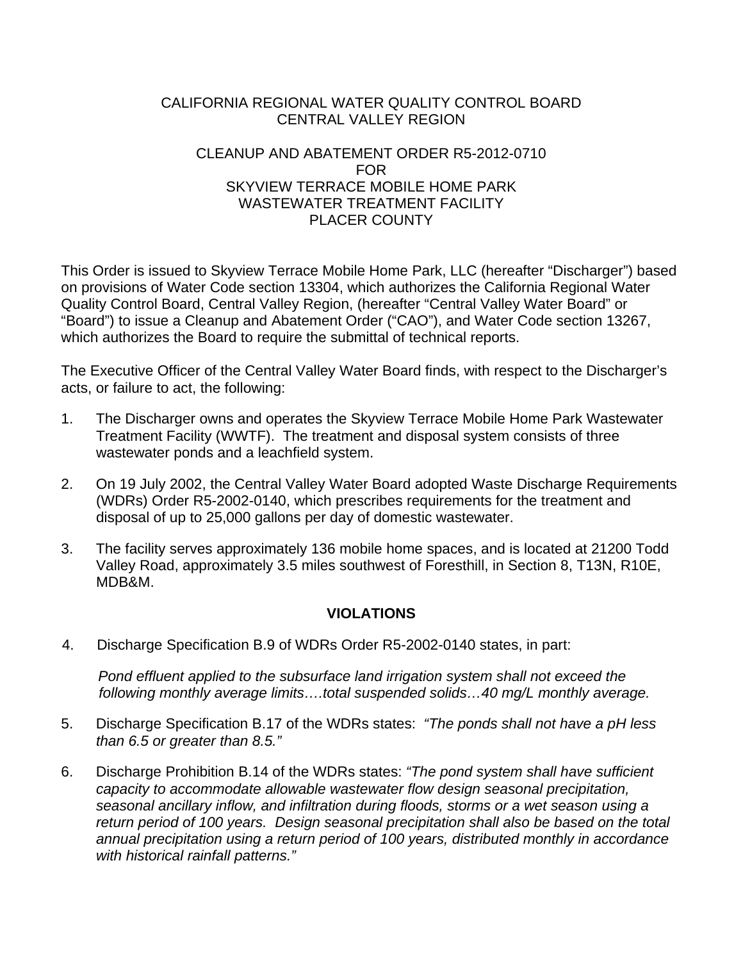#### CALIFORNIA REGIONAL WATER QUALITY CONTROL BOARD CENTRAL VALLEY REGION

### CLEANUP AND ABATEMENT ORDER R5-2012-0710 FOR SKYVIEW TERRACE MOBILE HOME PARK WASTEWATER TREATMENT FACILITY PLACER COUNTY

This Order is issued to Skyview Terrace Mobile Home Park, LLC (hereafter "Discharger") based on provisions of Water Code section 13304, which authorizes the California Regional Water Quality Control Board, Central Valley Region, (hereafter "Central Valley Water Board" or "Board") to issue a Cleanup and Abatement Order ("CAO"), and Water Code section 13267, which authorizes the Board to require the submittal of technical reports.

The Executive Officer of the Central Valley Water Board finds, with respect to the Discharger's acts, or failure to act, the following:

- 1. The Discharger owns and operates the Skyview Terrace Mobile Home Park Wastewater Treatment Facility (WWTF). The treatment and disposal system consists of three wastewater ponds and a leachfield system.
- 2. On 19 July 2002, the Central Valley Water Board adopted Waste Discharge Requirements (WDRs) Order R5-2002-0140, which prescribes requirements for the treatment and disposal of up to 25,000 gallons per day of domestic wastewater.
- 3. The facility serves approximately 136 mobile home spaces, and is located at 21200 Todd Valley Road, approximately 3.5 miles southwest of Foresthill, in Section 8, T13N, R10E, MDB&M.

# **VIOLATIONS**

4. Discharge Specification B.9 of WDRs Order R5-2002-0140 states, in part:

*Pond effluent applied to the subsurface land irrigation system shall not exceed the following monthly average limits….total suspended solids…40 mg/L monthly average.* 

- 5. Discharge Specification B.17 of the WDRs states: *"The ponds shall not have a pH less than 6.5 or greater than 8.5."*
- 6. Discharge Prohibition B.14 of the WDRs states: *"The pond system shall have sufficient capacity to accommodate allowable wastewater flow design seasonal precipitation, seasonal ancillary inflow, and infiltration during floods, storms or a wet season using a return period of 100 years. Design seasonal precipitation shall also be based on the total annual precipitation using a return period of 100 years, distributed monthly in accordance with historical rainfall patterns."*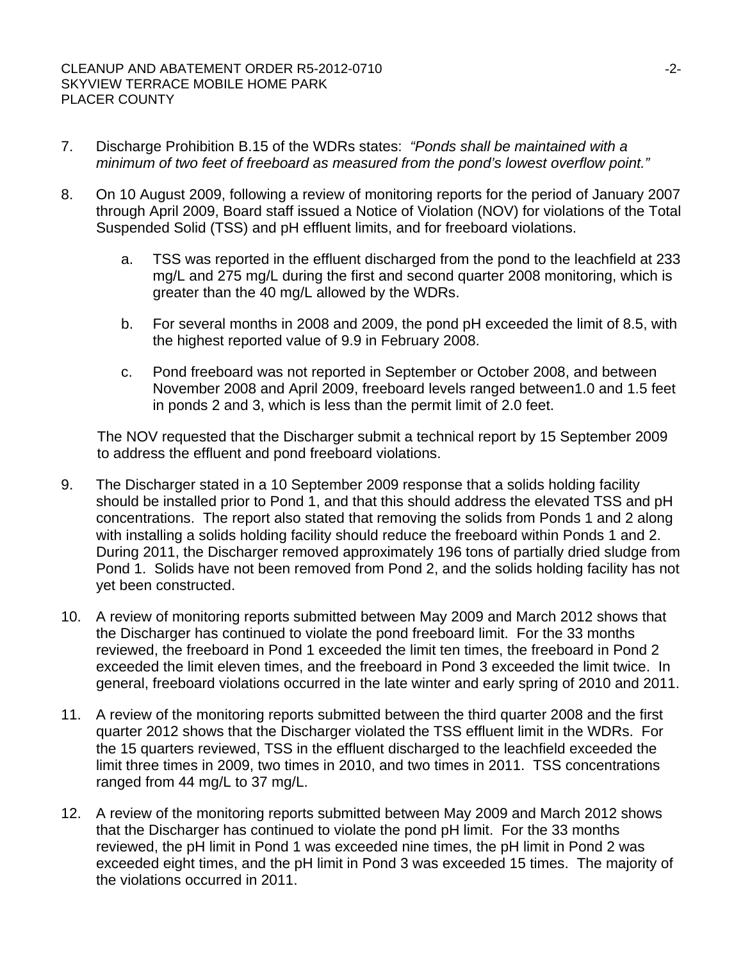- 7. Discharge Prohibition B.15 of the WDRs states: *"Ponds shall be maintained with a minimum of two feet of freeboard as measured from the pond's lowest overflow point."*
- 8. On 10 August 2009, following a review of monitoring reports for the period of January 2007 through April 2009, Board staff issued a Notice of Violation (NOV) for violations of the Total Suspended Solid (TSS) and pH effluent limits, and for freeboard violations.
	- a. TSS was reported in the effluent discharged from the pond to the leachfield at 233 mg/L and 275 mg/L during the first and second quarter 2008 monitoring, which is greater than the 40 mg/L allowed by the WDRs.
	- b. For several months in 2008 and 2009, the pond pH exceeded the limit of 8.5, with the highest reported value of 9.9 in February 2008.
	- c. Pond freeboard was not reported in September or October 2008, and between November 2008 and April 2009, freeboard levels ranged between1.0 and 1.5 feet in ponds 2 and 3, which is less than the permit limit of 2.0 feet.

The NOV requested that the Discharger submit a technical report by 15 September 2009 to address the effluent and pond freeboard violations.

- 9. The Discharger stated in a 10 September 2009 response that a solids holding facility should be installed prior to Pond 1, and that this should address the elevated TSS and pH concentrations. The report also stated that removing the solids from Ponds 1 and 2 along with installing a solids holding facility should reduce the freeboard within Ponds 1 and 2. During 2011, the Discharger removed approximately 196 tons of partially dried sludge from Pond 1. Solids have not been removed from Pond 2, and the solids holding facility has not yet been constructed.
- 10. A review of monitoring reports submitted between May 2009 and March 2012 shows that the Discharger has continued to violate the pond freeboard limit. For the 33 months reviewed, the freeboard in Pond 1 exceeded the limit ten times, the freeboard in Pond 2 exceeded the limit eleven times, and the freeboard in Pond 3 exceeded the limit twice. In general, freeboard violations occurred in the late winter and early spring of 2010 and 2011.
- 11. A review of the monitoring reports submitted between the third quarter 2008 and the first quarter 2012 shows that the Discharger violated the TSS effluent limit in the WDRs. For the 15 quarters reviewed, TSS in the effluent discharged to the leachfield exceeded the limit three times in 2009, two times in 2010, and two times in 2011. TSS concentrations ranged from 44 mg/L to 37 mg/L.
- 12. A review of the monitoring reports submitted between May 2009 and March 2012 shows that the Discharger has continued to violate the pond pH limit. For the 33 months reviewed, the pH limit in Pond 1 was exceeded nine times, the pH limit in Pond 2 was exceeded eight times, and the pH limit in Pond 3 was exceeded 15 times. The majority of the violations occurred in 2011.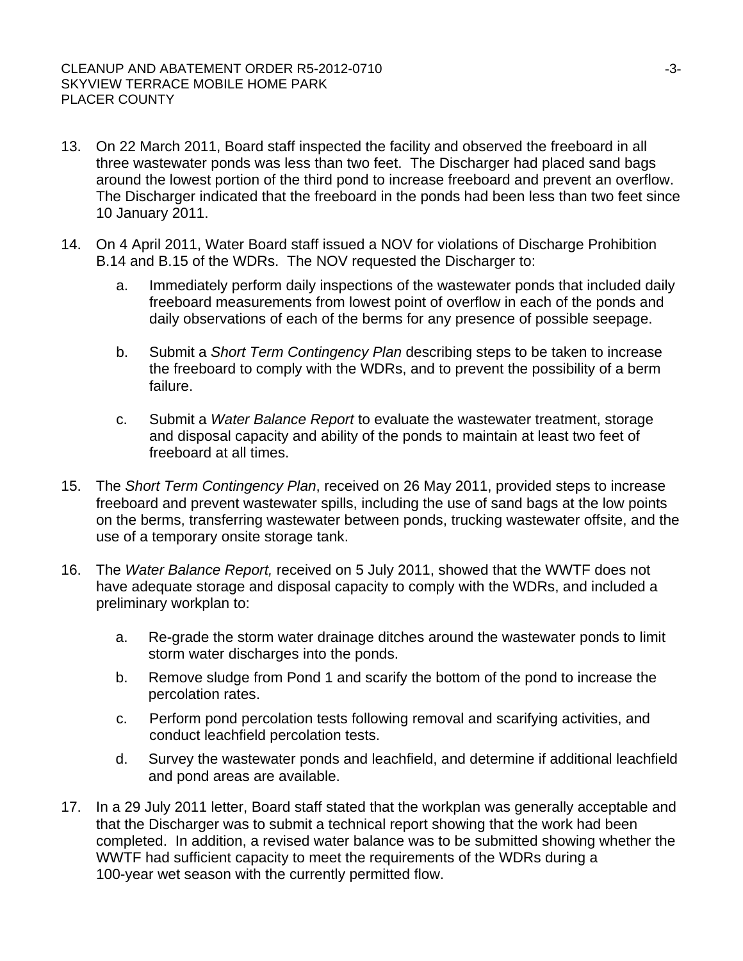#### CLEANUP AND ABATEMENT ORDER R5-2012-0710 SKYVIEW TERRACE MOBILE HOME PARK PLACER COUNTY

- 13. On 22 March 2011, Board staff inspected the facility and observed the freeboard in all three wastewater ponds was less than two feet. The Discharger had placed sand bags around the lowest portion of the third pond to increase freeboard and prevent an overflow. The Discharger indicated that the freeboard in the ponds had been less than two feet since 10 January 2011.
- 14. On 4 April 2011, Water Board staff issued a NOV for violations of Discharge Prohibition B.14 and B.15 of the WDRs. The NOV requested the Discharger to:
	- a. Immediately perform daily inspections of the wastewater ponds that included daily freeboard measurements from lowest point of overflow in each of the ponds and daily observations of each of the berms for any presence of possible seepage.
	- b. Submit a *Short Term Contingency Plan* describing steps to be taken to increase the freeboard to comply with the WDRs, and to prevent the possibility of a berm failure.
	- c. Submit a *Water Balance Report* to evaluate the wastewater treatment, storage and disposal capacity and ability of the ponds to maintain at least two feet of freeboard at all times.
- 15. The *Short Term Contingency Plan*, received on 26 May 2011, provided steps to increase freeboard and prevent wastewater spills, including the use of sand bags at the low points on the berms, transferring wastewater between ponds, trucking wastewater offsite, and the use of a temporary onsite storage tank.
- 16. The *Water Balance Report,* received on 5 July 2011, showed that the WWTF does not have adequate storage and disposal capacity to comply with the WDRs, and included a preliminary workplan to:
	- a. Re-grade the storm water drainage ditches around the wastewater ponds to limit storm water discharges into the ponds.
	- b. Remove sludge from Pond 1 and scarify the bottom of the pond to increase the percolation rates.
	- c. Perform pond percolation tests following removal and scarifying activities, and conduct leachfield percolation tests.
	- d. Survey the wastewater ponds and leachfield, and determine if additional leachfield and pond areas are available.
- 17. In a 29 July 2011 letter, Board staff stated that the workplan was generally acceptable and that the Discharger was to submit a technical report showing that the work had been completed. In addition, a revised water balance was to be submitted showing whether the WWTF had sufficient capacity to meet the requirements of the WDRs during a 100-year wet season with the currently permitted flow.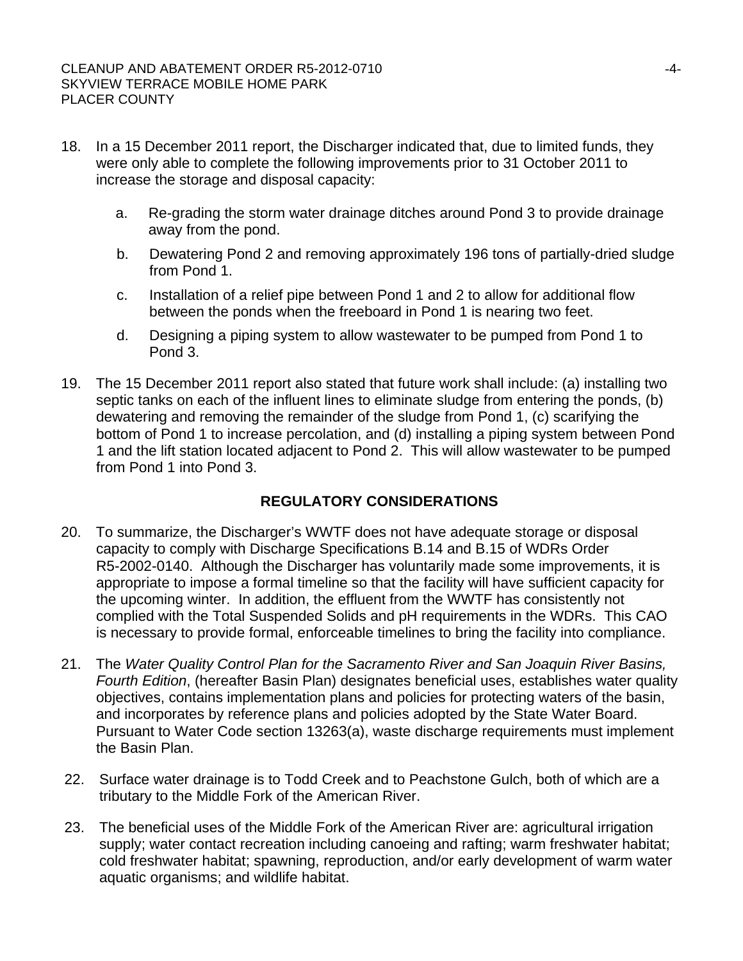- 18. In a 15 December 2011 report, the Discharger indicated that, due to limited funds, they were only able to complete the following improvements prior to 31 October 2011 to increase the storage and disposal capacity:
	- a. Re-grading the storm water drainage ditches around Pond 3 to provide drainage away from the pond.
	- b. Dewatering Pond 2 and removing approximately 196 tons of partially-dried sludge from Pond 1.
	- c. Installation of a relief pipe between Pond 1 and 2 to allow for additional flow between the ponds when the freeboard in Pond 1 is nearing two feet.
	- d. Designing a piping system to allow wastewater to be pumped from Pond 1 to Pond 3.
- 19. The 15 December 2011 report also stated that future work shall include: (a) installing two septic tanks on each of the influent lines to eliminate sludge from entering the ponds, (b) dewatering and removing the remainder of the sludge from Pond 1, (c) scarifying the bottom of Pond 1 to increase percolation, and (d) installing a piping system between Pond 1 and the lift station located adjacent to Pond 2. This will allow wastewater to be pumped from Pond 1 into Pond 3.

# **REGULATORY CONSIDERATIONS**

- 20. To summarize, the Discharger's WWTF does not have adequate storage or disposal capacity to comply with Discharge Specifications B.14 and B.15 of WDRs Order R5-2002-0140. Although the Discharger has voluntarily made some improvements, it is appropriate to impose a formal timeline so that the facility will have sufficient capacity for the upcoming winter. In addition, the effluent from the WWTF has consistently not complied with the Total Suspended Solids and pH requirements in the WDRs. This CAO is necessary to provide formal, enforceable timelines to bring the facility into compliance.
- 21. The *Water Quality Control Plan for the Sacramento River and San Joaquin River Basins, Fourth Edition*, (hereafter Basin Plan) designates beneficial uses, establishes water quality objectives, contains implementation plans and policies for protecting waters of the basin, and incorporates by reference plans and policies adopted by the State Water Board. Pursuant to Water Code section 13263(a), waste discharge requirements must implement the Basin Plan.
- 22. Surface water drainage is to Todd Creek and to Peachstone Gulch, both of which are a tributary to the Middle Fork of the American River.
- 23. The beneficial uses of the Middle Fork of the American River are: agricultural irrigation supply; water contact recreation including canoeing and rafting; warm freshwater habitat; cold freshwater habitat; spawning, reproduction, and/or early development of warm water aquatic organisms; and wildlife habitat.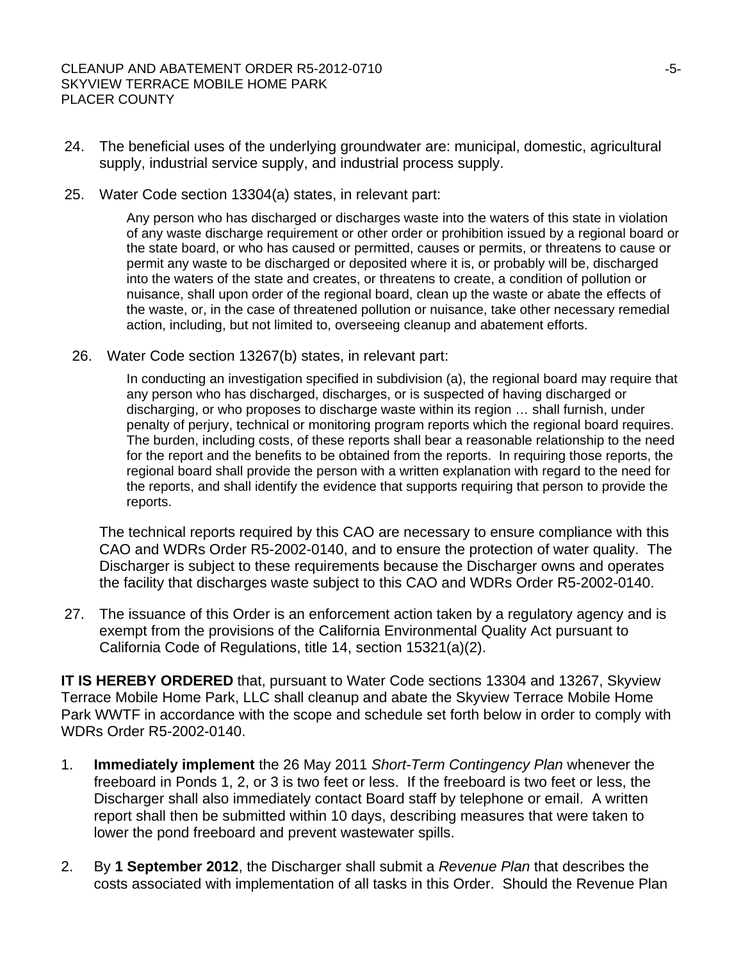- 24. The beneficial uses of the underlying groundwater are: municipal, domestic, agricultural supply, industrial service supply, and industrial process supply.
- 25. Water Code section 13304(a) states, in relevant part:

Any person who has discharged or discharges waste into the waters of this state in violation of any waste discharge requirement or other order or prohibition issued by a regional board or the state board, or who has caused or permitted, causes or permits, or threatens to cause or permit any waste to be discharged or deposited where it is, or probably will be, discharged into the waters of the state and creates, or threatens to create, a condition of pollution or nuisance, shall upon order of the regional board, clean up the waste or abate the effects of the waste, or, in the case of threatened pollution or nuisance, take other necessary remedial action, including, but not limited to, overseeing cleanup and abatement efforts.

26. Water Code section 13267(b) states, in relevant part:

In conducting an investigation specified in subdivision (a), the regional board may require that any person who has discharged, discharges, or is suspected of having discharged or discharging, or who proposes to discharge waste within its region … shall furnish, under penalty of perjury, technical or monitoring program reports which the regional board requires. The burden, including costs, of these reports shall bear a reasonable relationship to the need for the report and the benefits to be obtained from the reports. In requiring those reports, the regional board shall provide the person with a written explanation with regard to the need for the reports, and shall identify the evidence that supports requiring that person to provide the reports.

The technical reports required by this CAO are necessary to ensure compliance with this CAO and WDRs Order R5-2002-0140, and to ensure the protection of water quality. The Discharger is subject to these requirements because the Discharger owns and operates the facility that discharges waste subject to this CAO and WDRs Order R5-2002-0140.

27. The issuance of this Order is an enforcement action taken by a regulatory agency and is exempt from the provisions of the California Environmental Quality Act pursuant to California Code of Regulations, title 14, section 15321(a)(2).

**IT IS HEREBY ORDERED** that, pursuant to Water Code sections 13304 and 13267, Skyview Terrace Mobile Home Park, LLC shall cleanup and abate the Skyview Terrace Mobile Home Park WWTF in accordance with the scope and schedule set forth below in order to comply with WDRs Order R5-2002-0140.

- 1. **Immediately implement** the 26 May 2011 *Short-Term Contingency Plan* whenever the freeboard in Ponds 1, 2, or 3 is two feet or less. If the freeboard is two feet or less, the Discharger shall also immediately contact Board staff by telephone or email. A written report shall then be submitted within 10 days, describing measures that were taken to lower the pond freeboard and prevent wastewater spills.
- 2. By **1 September 2012**, the Discharger shall submit a *Revenue Plan* that describes the costs associated with implementation of all tasks in this Order. Should the Revenue Plan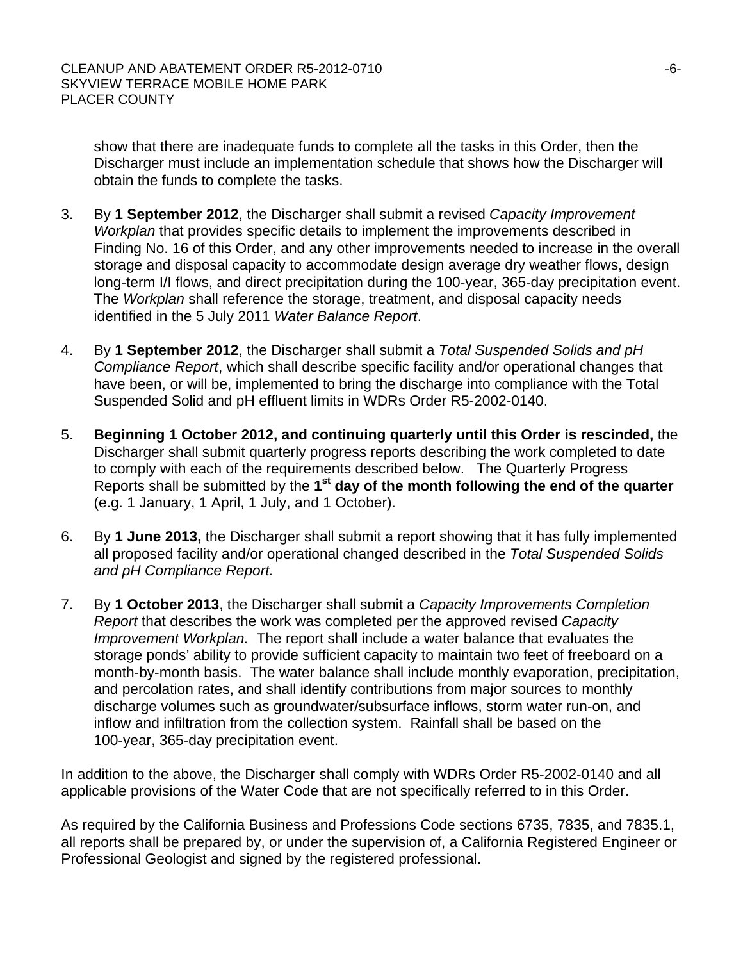show that there are inadequate funds to complete all the tasks in this Order, then the Discharger must include an implementation schedule that shows how the Discharger will obtain the funds to complete the tasks.

- 3. By **1 September 2012**, the Discharger shall submit a revised *Capacity Improvement Workplan* that provides specific details to implement the improvements described in Finding No. 16 of this Order, and any other improvements needed to increase in the overall storage and disposal capacity to accommodate design average dry weather flows, design long-term I/I flows, and direct precipitation during the 100-year, 365-day precipitation event. The *Workplan* shall reference the storage, treatment, and disposal capacity needs identified in the 5 July 2011 *Water Balance Report*.
- 4. By **1 September 2012**, the Discharger shall submit a *Total Suspended Solids and pH Compliance Report*, which shall describe specific facility and/or operational changes that have been, or will be, implemented to bring the discharge into compliance with the Total Suspended Solid and pH effluent limits in WDRs Order R5-2002-0140.
- 5. **Beginning 1 October 2012, and continuing quarterly until this Order is rescinded,** the Discharger shall submit quarterly progress reports describing the work completed to date to comply with each of the requirements described below. The Quarterly Progress Reports shall be submitted by the **1st day of the month following the end of the quarter** (e.g. 1 January, 1 April, 1 July, and 1 October).
- 6. By **1 June 2013,** the Discharger shall submit a report showing that it has fully implemented all proposed facility and/or operational changed described in the *Total Suspended Solids and pH Compliance Report.*
- 7. By **1 October 2013**, the Discharger shall submit a *Capacity Improvements Completion Report* that describes the work was completed per the approved revised *Capacity Improvement Workplan.* The report shall include a water balance that evaluates the storage ponds' ability to provide sufficient capacity to maintain two feet of freeboard on a month-by-month basis. The water balance shall include monthly evaporation, precipitation, and percolation rates, and shall identify contributions from major sources to monthly discharge volumes such as groundwater/subsurface inflows, storm water run-on, and inflow and infiltration from the collection system. Rainfall shall be based on the 100-year, 365-day precipitation event.

In addition to the above, the Discharger shall comply with WDRs Order R5-2002-0140 and all applicable provisions of the Water Code that are not specifically referred to in this Order.

As required by the California Business and Professions Code sections 6735, 7835, and 7835.1, all reports shall be prepared by, or under the supervision of, a California Registered Engineer or Professional Geologist and signed by the registered professional.